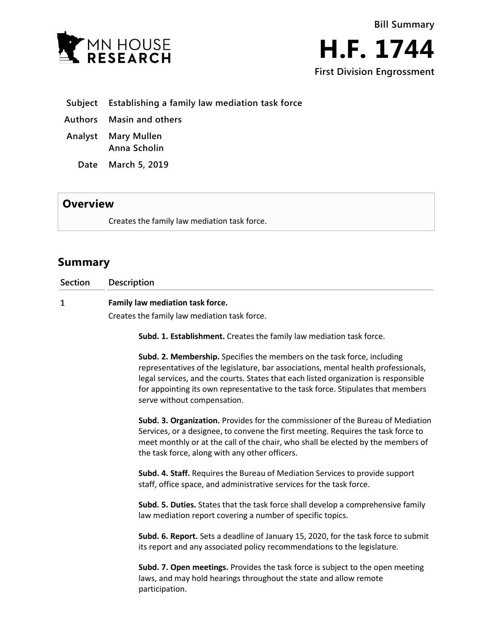



- **Subject Establishing a family law mediation task force**
- **Authors Masin and others**
- **Analyst Mary Mullen Anna Scholin**
	- **Date March 5, 2019**

## **Overview**

Creates the family law mediation task force.

## **Summary**

**Section Description**  $\mathbf{1}$ **Family law mediation task force.** Creates the family law mediation task force.

**Subd. 1. Establishment.** Creates the family law mediation task force.

**Subd. 2. Membership.** Specifies the members on the task force, including representatives of the legislature, bar associations, mental health professionals, legal services, and the courts. States that each listed organization is responsible for appointing its own representative to the task force. Stipulates that members serve without compensation.

**Subd. 3. Organization.** Provides for the commissioner of the Bureau of Mediation Services, or a designee, to convene the first meeting. Requires the task force to meet monthly or at the call of the chair, who shall be elected by the members of the task force, along with any other officers.

**Subd. 4. Staff.** Requires the Bureau of Mediation Services to provide support staff, office space, and administrative services for the task force.

**Subd. 5. Duties.** States that the task force shall develop a comprehensive family law mediation report covering a number of specific topics.

**Subd. 6. Report.** Sets a deadline of January 15, 2020, for the task force to submit its report and any associated policy recommendations to the legislature.

**Subd. 7. Open meetings.** Provides the task force is subject to the open meeting laws, and may hold hearings throughout the state and allow remote participation.